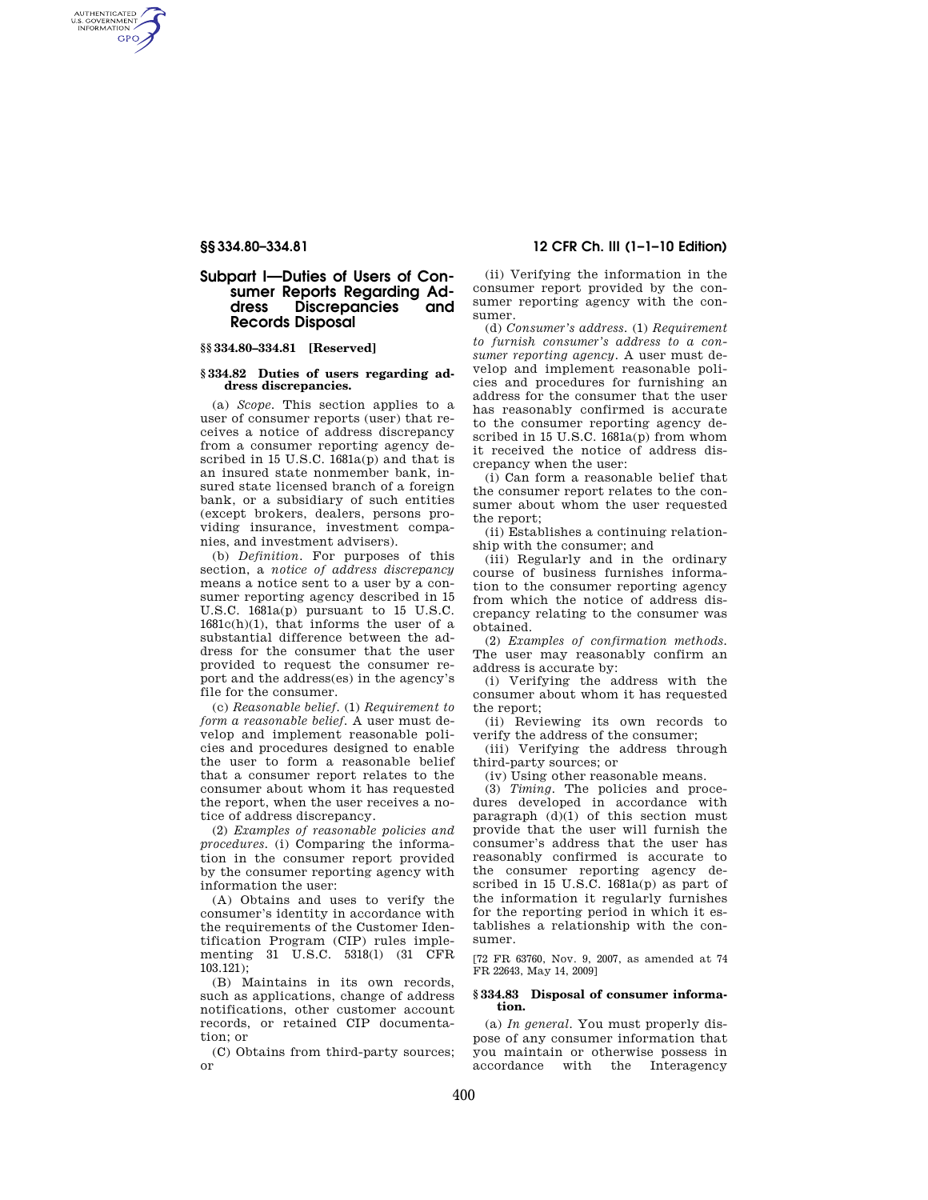AUTHENTICATED<br>U.S. GOVERNMENT<br>INFORMATION **GPO** 

# **Subpart I—Duties of Users of Consumer Reports Regarding Address Discrepancies and Records Disposal**

## **§§ 334.80–334.81 [Reserved]**

#### **§ 334.82 Duties of users regarding address discrepancies.**

(a) *Scope.* This section applies to a user of consumer reports (user) that receives a notice of address discrepancy from a consumer reporting agency described in 15 U.S.C. 1681a(p) and that is an insured state nonmember bank, insured state licensed branch of a foreign bank, or a subsidiary of such entities (except brokers, dealers, persons providing insurance, investment companies, and investment advisers).

(b) *Definition.* For purposes of this section, a *notice of address discrepancy*  means a notice sent to a user by a consumer reporting agency described in 15 U.S.C. 1681a(p) pursuant to 15 U.S.C.  $1681c(h)(1)$ , that informs the user of a substantial difference between the address for the consumer that the user provided to request the consumer report and the address(es) in the agency's file for the consumer.

(c) *Reasonable belief.* (1) *Requirement to form a reasonable belief.* A user must develop and implement reasonable policies and procedures designed to enable the user to form a reasonable belief that a consumer report relates to the consumer about whom it has requested the report, when the user receives a notice of address discrepancy.

(2) *Examples of reasonable policies and procedures.* (i) Comparing the information in the consumer report provided by the consumer reporting agency with information the user:

(A) Obtains and uses to verify the consumer's identity in accordance with the requirements of the Customer Identification Program (CIP) rules implementing 31 U.S.C. 5318(l) (31 CFR 103.121);

(B) Maintains in its own records, such as applications, change of address notifications, other customer account records, or retained CIP documentation; or

(C) Obtains from third-party sources; or

## **§§ 334.80–334.81 12 CFR Ch. III (1–1–10 Edition)**

(ii) Verifying the information in the consumer report provided by the consumer reporting agency with the consumer.

(d) *Consumer's address.* (1) *Requirement to furnish consumer's address to a consumer reporting agency.* A user must develop and implement reasonable policies and procedures for furnishing an address for the consumer that the user has reasonably confirmed is accurate to the consumer reporting agency described in 15 U.S.C. 1681a(p) from whom it received the notice of address discrepancy when the user:

(i) Can form a reasonable belief that the consumer report relates to the consumer about whom the user requested the report;

(ii) Establishes a continuing relationship with the consumer; and

(iii) Regularly and in the ordinary course of business furnishes information to the consumer reporting agency from which the notice of address discrepancy relating to the consumer was obtained.

(2) *Examples of confirmation methods.*  The user may reasonably confirm an address is accurate by:

(i) Verifying the address with the consumer about whom it has requested the report;

(ii) Reviewing its own records to verify the address of the consumer;

(iii) Verifying the address through third-party sources; or

(iv) Using other reasonable means.

(3) *Timing.* The policies and procedures developed in accordance with paragraph  $(d)(1)$  of this section must provide that the user will furnish the consumer's address that the user has reasonably confirmed is accurate to the consumer reporting agency described in 15 U.S.C. 1681a(p) as part of the information it regularly furnishes for the reporting period in which it establishes a relationship with the consumer.

[72 FR 63760, Nov. 9, 2007, as amended at 74 FR 22643, May 14, 2009]

#### **§ 334.83 Disposal of consumer information.**

(a) *In general.* You must properly dispose of any consumer information that you maintain or otherwise possess in accordance with the Interagency